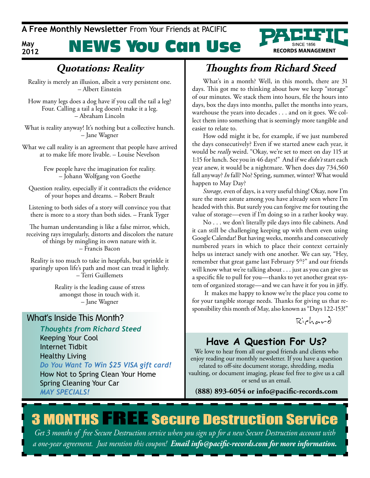**A Free Monthly Newsletter** From Your Friends at PaCIFIC

**May 2012**

# NEWS You Can Use



### **Quotations: Reality**

Reality is merely an illusion, albeit a very persistent one. – Albert Einstein

How many legs does a dog have if you call the tail a leg? Four. Calling a tail a leg doesn't make it a leg. – Abraham Lincoln

What is reality anyway! It's nothing but a collective hunch. – Jane Wagner

What we call reality is an agreement that people have arrived at to make life more livable. – Louise Nevelson

> Few people have the imagination for reality. – Johann Wolfgang von Goethe

Question reality, especially if it contradicts the evidence of your hopes and dreams. – Robert Brault

Listening to both sides of a story will convince you that there is more to a story than both sides. – Frank Tyger

The human understanding is like a false mirror, which, receiving rays irregularly, distorts and discolors the nature of things by mingling its own nature with it. – Francis Bacon

Reality is too much to take in heapfuls, but sprinkle it sparingly upon life's path and most can tread it lightly. – Terri Guillemets

> Reality is the leading cause of stress amongst those in touch with it. – Jane Wagner

### What's Inside This Month?

*Thoughts from Richard Steed* Keeping Your Cool Internet Tidbit Healthy Living *Do You Want To Win \$25 VISA gift card!* How Not to Spring Clean Your Home Spring Cleaning Your Car *MAY SpecIAlS!*

### **Thoughts from Richard Steed**

What's in a month? Well, in this month, there are 31 days. This got me to thinking about how we keep "storage" of our minutes. We stack them into hours, file the hours into days, box the days into months, pallet the months into years, warehouse the years into decades . . . and on it goes. We collect them into something that is seemingly more tangible and easier to relate to.

How odd might it be, for example, if we just numbered the days consecutively? Even if we started anew each year, it would be *really* weird. "Okay, we're set to meet on day 115 at 1:15 for lunch. See you in 46 days!" And if we *didn't* start each year anew, it would be a nightmare. When does day 734,560 fall anyway? *In* fall? No? Spring, summer, winter? What would happen to May Day?

*Storage,* even of days, is a very useful thing! Okay, now I'm sure the more astute among you have already seen where I'm headed with this. But surely you can forgive me for touting the value of storage—even if I'm doing so in a rather kooky way.

No . . . we don't literally pile days into file cabinets. And it can still be challenging keeping up with them even using Google Calendar! But having weeks, months and consecutively numbered years in which to place their context certainly helps us interact sanely with one another. We can say, "Hey, remember that great game last February 5<sup>th</sup>?" and our friends will know what we're talking about . . . just as you can give us a specific file to pull for you—thanks to yet another great system of organized storage—and we can have it for you in jiffy.

 It makes me happy to know we're the place you come to for your tangible storage needs. Thanks for giving us that responsibility this month of May, also known as "Days 122-153!"

Rich ard

### **Have A Question For Us?**

We love to hear from all our good friends and clients who enjoy reading our monthly newsletter. If you have a question related to off-site document storage, shredding, media vaulting, or document imaging, please feel free to give us a call or send us an email.

**(888) 893-6054 or info@pacific-records.com**

# **3 MONTHS FREE Secure Destruction Service**

*Get 3 months of free Secure Destruction service when you sign up for a new Secure Destruction account with a one-year agreement. Just mention this coupon! Email info@pacific-records.com for more information.*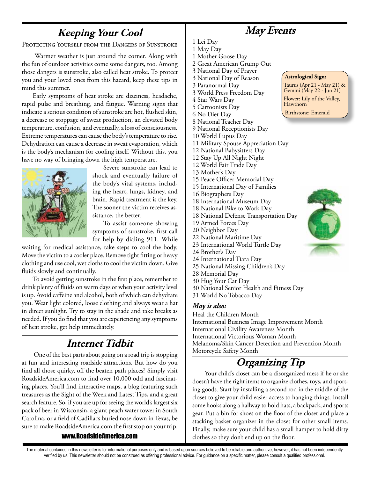### **Keeping Your Cool**

Protecting Yourself from the Dangers of Sunstroke

 Warmer weather is just around the corner. Along with the fun of outdoor activities come some dangers, too. Among those dangers is sunstroke, also called heat stroke. To protect you and your loved ones from this hazard, keep these tips in mind this summer.

Early symptoms of heat stroke are dizziness, headache, rapid pulse and breathing, and fatigue. Warning signs that indicate a serious condition of sunstroke are hot, flushed skin, a decrease or stoppage of sweat production, an elevated body temperature, confusion, and eventually, a loss of consciousness. Extreme temperatures can cause the body's temperature to rise. Dehydration can cause a decrease in sweat evaporation, which is the body's mechanism for cooling itself. Without this, you have no way of bringing down the high temperature.



Severe sunstroke can lead to shock and eventually failure of the body's vital systems, including the heart, lungs, kidney, and brain. Rapid treatment is the key. The sooner the victim receives assistance, the better.

To assist someone showing symptoms of sunstroke, first call for help by dialing 911. While

waiting for medical assistance, take steps to cool the body. Move the victim to a cooler place. Remove tight fitting or heavy clothing and use cool, wet cloths to cool the victim down. Give fluids slowly and continually.

To avoid getting sunstroke in the first place, remember to drink plenty of fluids on warm days or when your activity level is up. Avoid caffeine and alcohol, both of which can dehydrate you. Wear light colored, loose clothing and always wear a hat in direct sunlight. Try to stay in the shade and take breaks as needed. If you do find that you are experiencing any symptoms of heat stroke, get help immediately.

### **Internet Tidbit**

 One of the best parts about going on a road trip is stopping at fun and interesting roadside attractions. But how do you find all those quirky, off the beaten path places? Simply visit RoadsideAmerica.com to find over 10,000 odd and fascinating places. You'll find interactive maps, a blog featuring such treasures as the Sight of the Week and Latest Tips, and a great search feature. So, if you are up for seeing the world's largest six pack of beer in Wisconsin, a giant peach water tower in South Carolina, or a field of Cadillacs buried nose down in Texas, be sure to make RoadsideAmerica.com the first stop on your trip.

#### www.RoadsideAmerica.com

**May Events**

**Astrological Sign:** 

Birthstone: Emerald

Hawthorn

Taurus (Apr 21 - May 21) & Gemini (May 22 - Jun 21) Flower: Lily of the Valley,

1 Lei Day

- 1 May Day
- 1 Mother Goose Day
- 2 Great American Grump Out
- 3 National Day of Prayer 3 National Day of Reason
- 3 Paranormal Day
- 3 World Press Freedom Day
- 4 Star Wars Day
- 5 Cartoonists Day
- 6 No Diet Day
- 8 National Teacher Day
- 9 National Receptionists Day
- 10 World Lupus Day
- 11 Military Spouse Appreciation Day
- 12 National Babysitters Day 12 Stay Up All Night Night
- 12 World Fair Trade Day
- 13 Mother's Day
- 15 Peace Officer Memorial Day
- 15 International Day of Families
- 16 Biographers Day
- 18 International Museum Day
- 18 National Bike to Work Day
- 18 National Defense Transportation Day
- 19 Armed Forces Day
- 20 Neighbor Day
- 22 National Maritime Day
- 23 International World Turtle Day
- 24 Brother's Day
- 24 International Tiara Day
- 25 National Missing Children's Day
- 28 Memorial Day
- 30 Hug Your Cat Day
- 30 National Senior Health and Fitness Day
- 31 World No Tobacco Day

#### *May is also:*

Heal the Children Month International Business Image Improvement Month International Civility Awareness Month International Victorious Woman Month Melanoma/Skin Cancer Detection and Prevention Month Motorcycle Safety Month

### **Organizing Tip**

 Your child's closet can be a disorganized mess if he or she doesn't have the right items to organize clothes, toys, and sporting goods. Start by installing a second rod in the middle of the closet to give your child easier access to hanging things. Install some hooks along a hallway to hold hats, a backpack, and sports gear. Put a bin for shoes on the floor of the closet and place a stacking basket organizer in the closet for other small items. Finally, make sure your child has a small hamper to hold dirty clothes so they don't end up on the floor.



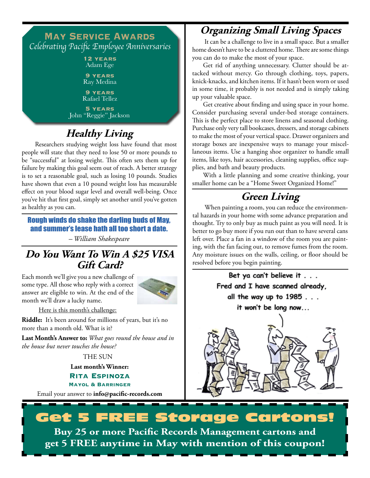### **May Service Awards** Celebrating Pacific Employee Anniversaries

**12 years** Adam Ege

**9 years** Ray Medina

**9 years** Rafael Tellez

**5 years** John "Reggie" Jackson

## **Healthy Living**

 Researchers studying weight loss have found that most people will state that they need to lose 50 or more pounds to be "successful" at losing weight. This often sets them up for failure by making this goal seem out of reach. A better strategy is to set a reasonable goal, such as losing 10 pounds. Studies have shown that even a 10 pound weight loss has measurable effect on your blood sugar level and overall well-being. Once you've hit that first goal, simply set another until you've gotten as healthy as you can.

### Rough winds do shake the darling buds of may, and summer's lease hath all too short a date.

*– William Shakespeare*

### **Do You Want To Win A \$25 VISA Gift Card?**

Each month we'll give you a new challenge of some type. All those who reply with a correct answer are eligible to win. At the end of the month we'll draw a lucky name.



Here is this month's challenge:

**Riddle:** It's been around for millions of years, but it's no more than a month old. What is it?

**Last Month's Answer to:** *What goes round the house and in the house but never touches the house?*

THE SUN

**Last month's Winner:**

**Rita Espinoza Mayol & Barringer**

Email your answer to **info@pacific-records.com**

### **Organizing Small Living Spaces**

 It can be a challenge to live in a small space. But a smaller home doesn't have to be a cluttered home. There are some things you can do to make the most of your space.

Get rid of anything unnecessary. Clutter should be attacked without mercy. Go through clothing, toys, papers, knick-knacks, and kitchen items. If it hasn't been worn or used in some time, it probably is not needed and is simply taking up your valuable space.

Get creative about finding and using space in your home. Consider purchasing several under-bed storage containers. This is the perfect place to store linens and seasonal clothing. Purchase only very tall bookcases, dressers, and storage cabinets to make the most of your vertical space. Drawer organizers and storage boxes are inexpensive ways to manage your miscellaneous items. Use a hanging shoe organizer to handle small items, like toys, hair accessories, cleaning supplies, office supplies, and bath and beauty products.

With a little planning and some creative thinking, your smaller home can be a "Home Sweet Organized Home!"

### **Green Living**

 When painting a room, you can reduce the environmental hazards in your home with some advance preparation and thought. Try to only buy as much paint as you will need. It is better to go buy more if you run out than to have several cans left over. Place a fan in a window of the room you are painting, with the fan facing out, to remove fumes from the room. Any moisture issues on the walls, ceiling, or floor should be resolved before you begin painting.

Bet ya can't believe it . . . Fred and I have scanned already. all the way up to 1985 . . . it won't be long now...

### FREE Storage Cartons! **Buy 25 or more Pacific Records Management cartons and get 5 fREE anytime in May with mention of this coupon!**